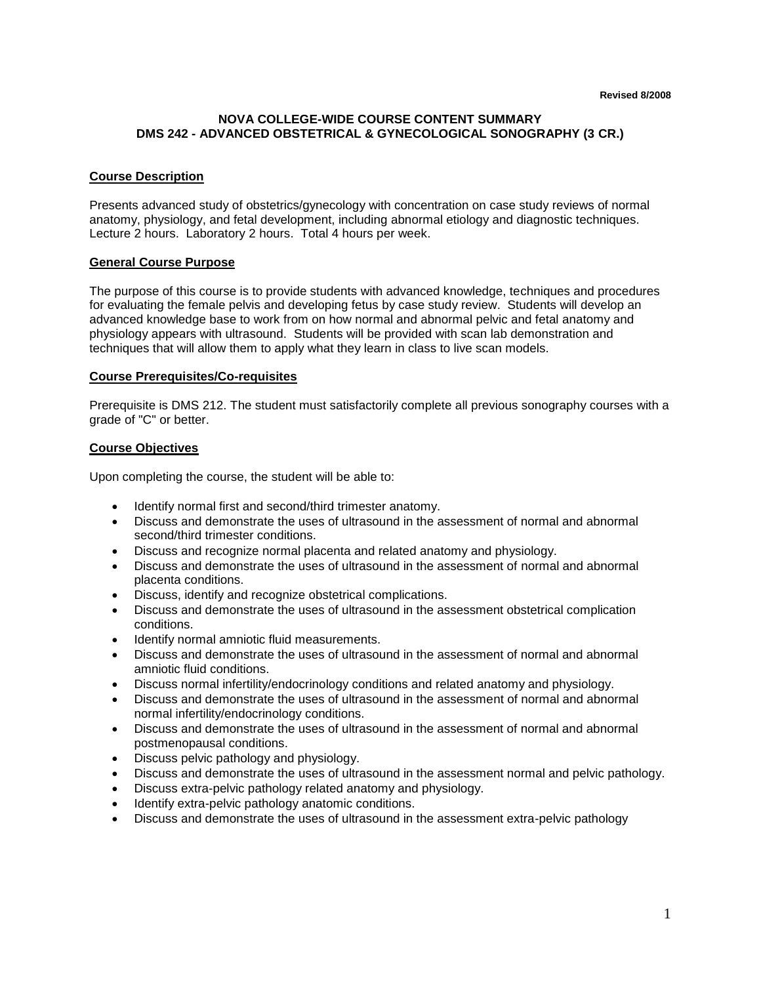## **NOVA COLLEGE-WIDE COURSE CONTENT SUMMARY DMS 242 - ADVANCED OBSTETRICAL & GYNECOLOGICAL SONOGRAPHY (3 CR.)**

## **Course Description**

Presents advanced study of obstetrics/gynecology with concentration on case study reviews of normal anatomy, physiology, and fetal development, including abnormal etiology and diagnostic techniques. Lecture 2 hours. Laboratory 2 hours. Total 4 hours per week.

## **General Course Purpose**

The purpose of this course is to provide students with advanced knowledge, techniques and procedures for evaluating the female pelvis and developing fetus by case study review. Students will develop an advanced knowledge base to work from on how normal and abnormal pelvic and fetal anatomy and physiology appears with ultrasound. Students will be provided with scan lab demonstration and techniques that will allow them to apply what they learn in class to live scan models.

#### **Course Prerequisites/Co-requisites**

Prerequisite is DMS 212. The student must satisfactorily complete all previous sonography courses with a grade of "C" or better.

## **Course Objectives**

Upon completing the course, the student will be able to:

- Identify normal first and second/third trimester anatomy.
- Discuss and demonstrate the uses of ultrasound in the assessment of normal and abnormal second/third trimester conditions.
- Discuss and recognize normal placenta and related anatomy and physiology.
- Discuss and demonstrate the uses of ultrasound in the assessment of normal and abnormal placenta conditions.
- Discuss, identify and recognize obstetrical complications.
- Discuss and demonstrate the uses of ultrasound in the assessment obstetrical complication conditions.
- Identify normal amniotic fluid measurements.
- Discuss and demonstrate the uses of ultrasound in the assessment of normal and abnormal amniotic fluid conditions.
- Discuss normal infertility/endocrinology conditions and related anatomy and physiology.
- Discuss and demonstrate the uses of ultrasound in the assessment of normal and abnormal normal infertility/endocrinology conditions.
- Discuss and demonstrate the uses of ultrasound in the assessment of normal and abnormal postmenopausal conditions.
- Discuss pelvic pathology and physiology.
- Discuss and demonstrate the uses of ultrasound in the assessment normal and pelvic pathology.
- Discuss extra-pelvic pathology related anatomy and physiology.
- Identify extra-pelvic pathology anatomic conditions.
- Discuss and demonstrate the uses of ultrasound in the assessment extra-pelvic pathology